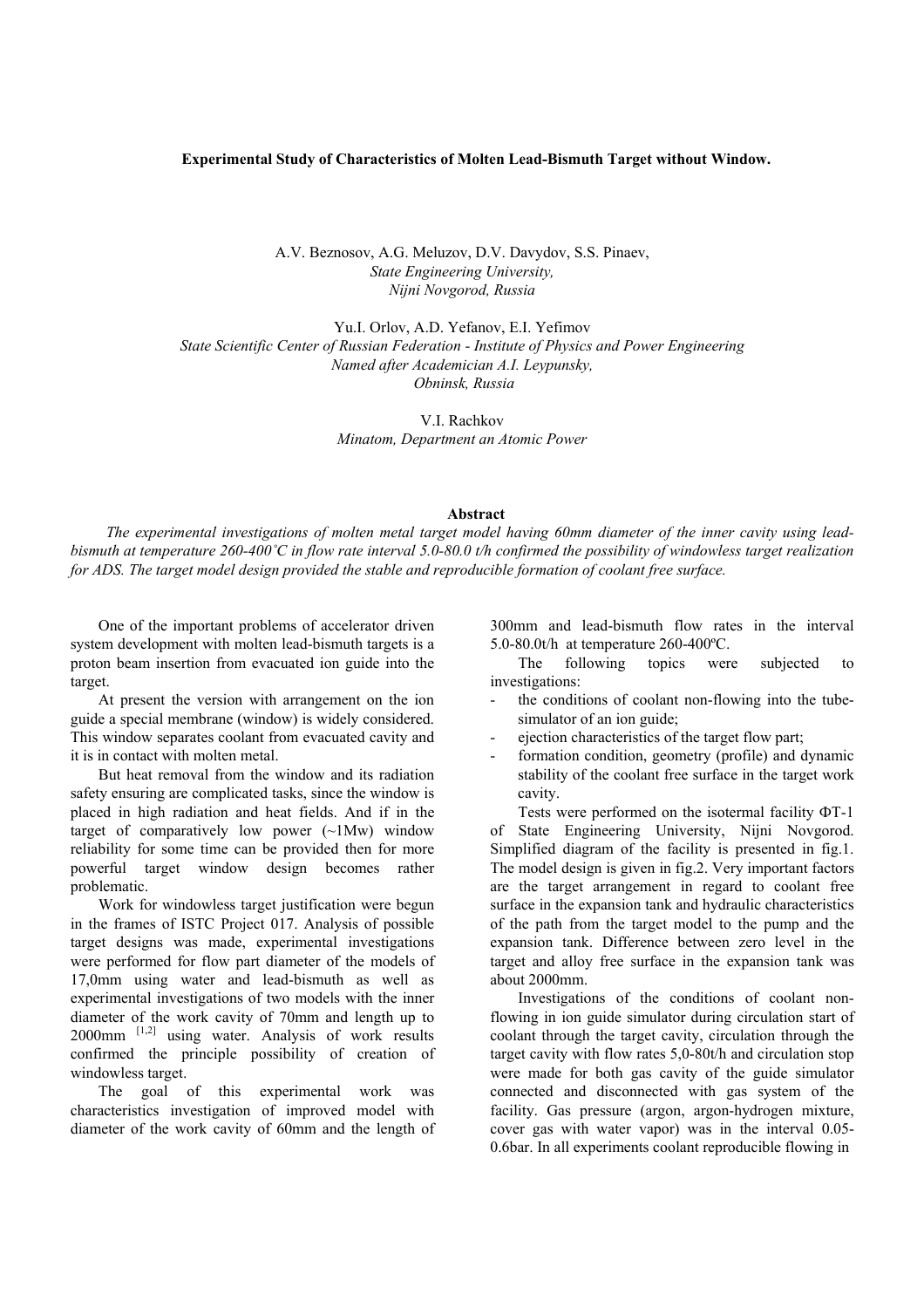## **Experimental Study of Characteristics of Molten Lead-Bismuth Target without Window.**

A.V. Beznosov, A.G. Meluzov, D.V. Davydov, S.S. Pinaev, *State Engineering University, Nijni Novgorod, Russia* 

Yu.I. Orlov, A.D. Yefanov, E.I. Yefimov

*State Scientific Center of Russian Federation - Institute of Physics and Power Engineering Named after Academician A.I. Leypunsky, Obninsk, Russia* 

> V.I. Rachkov *Minatom, Department an Atomic Power*

## **Abstract**

 *The experimental investigations of molten metal target model having 60mm diameter of the inner cavity using leadbismuth at temperature 260-400˚C in flow rate interval 5.0-80.0 t/h confirmed the possibility of windowless target realization for ADS. The target model design provided the stable and reproducible formation of coolant free surface.* 

One of the important problems of accelerator driven system development with molten lead-bismuth targets is a proton beam insertion from evacuated ion guide into the target.

At present the version with arrangement on the ion guide a special membrane (window) is widely considered. This window separates coolant from evacuated cavity and it is in contact with molten metal.

But heat removal from the window and its radiation safety ensuring are complicated tasks, since the window is placed in high radiation and heat fields. And if in the target of comparatively low power (~1Mw) window reliability for some time can be provided then for more powerful target window design becomes rather problematic.

Work for windowless target justification were begun in the frames of ISTC Project 017. Analysis of possible target designs was made, experimental investigations were performed for flow part diameter of the models of 17,0mm using water and lead-bismuth as well as experimental investigations of two models with the inner diameter of the work cavity of 70mm and length up to 2000mm [1,2] using water. Analysis of work results confirmed the principle possibility of creation of windowless target.

The goal of this experimental work was characteristics investigation of improved model with diameter of the work cavity of 60mm and the length of 300mm and lead-bismuth flow rates in the interval 5.0-80.0t/h at temperature 260-400ºC.

The following topics were subjected to investigations:

- the conditions of coolant non-flowing into the tubesimulator of an ion guide;
- ejection characteristics of the target flow part;
- formation condition, geometry (profile) and dynamic stability of the coolant free surface in the target work cavity.

Tests were performed on the isotermal facility ФТ-1 of State Engineering University, Nijni Novgorod. Simplified diagram of the facility is presented in fig.1. The model design is given in fig.2. Very important factors are the target arrangement in regard to coolant free surface in the expansion tank and hydraulic characteristics of the path from the target model to the pump and the expansion tank. Difference between zero level in the target and alloy free surface in the expansion tank was about 2000mm.

Investigations of the conditions of coolant nonflowing in ion guide simulator during circulation start of coolant through the target cavity, circulation through the target cavity with flow rates 5,0-80t/h and circulation stop were made for both gas cavity of the guide simulator connected and disconnected with gas system of the facility. Gas pressure (argon, argon-hydrogen mixture, cover gas with water vapor) was in the interval 0.05- 0.6bar. In all experiments coolant reproducible flowing in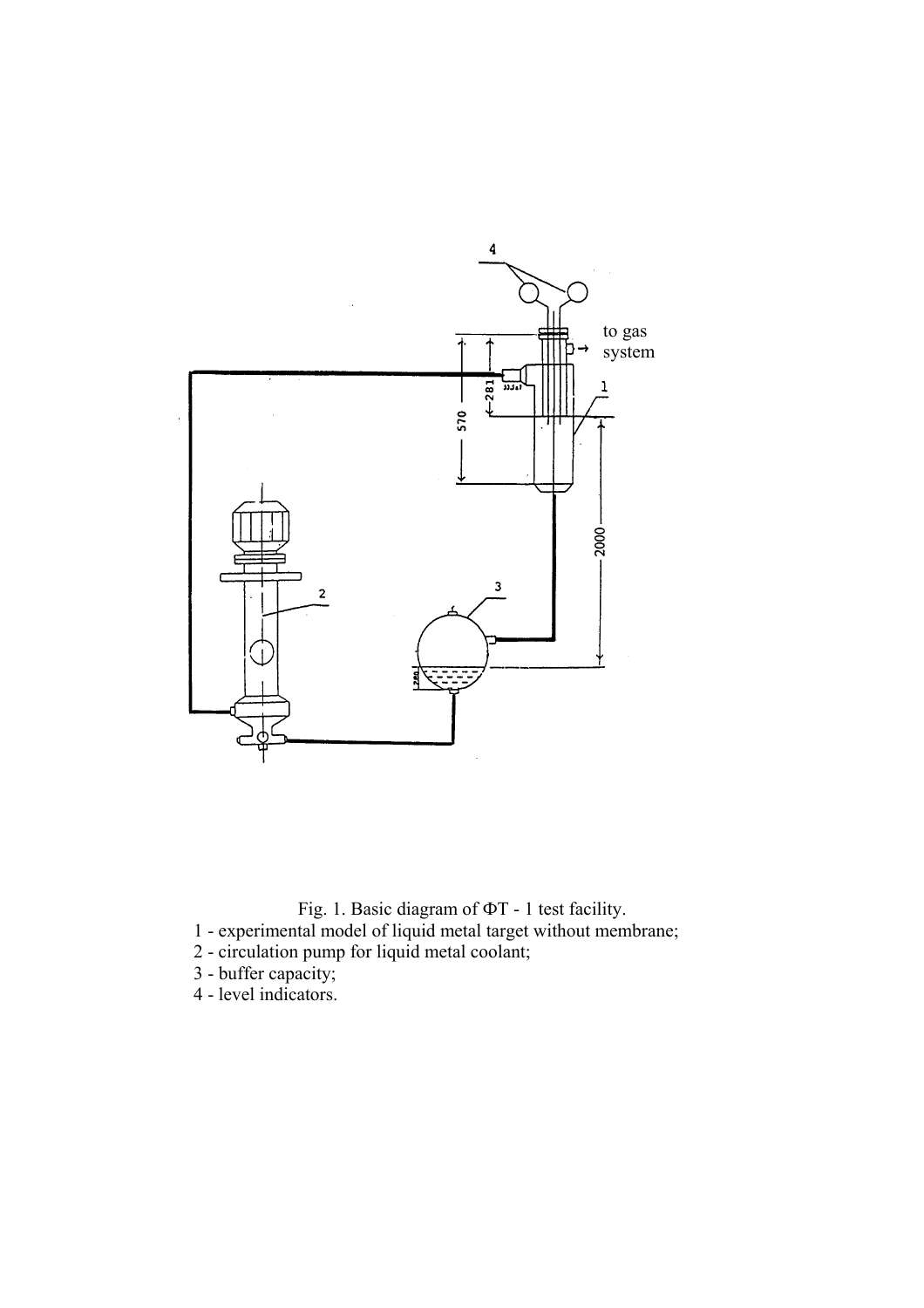

Fig. 1. Basic diagram of  $\Phi$ T - 1 test facility.

- 1 experimental model of liquid metal target without membrane;
- 2 circulation pump for liquid metal coolant;
- 3 buffer capacity;
- 4 level indicators.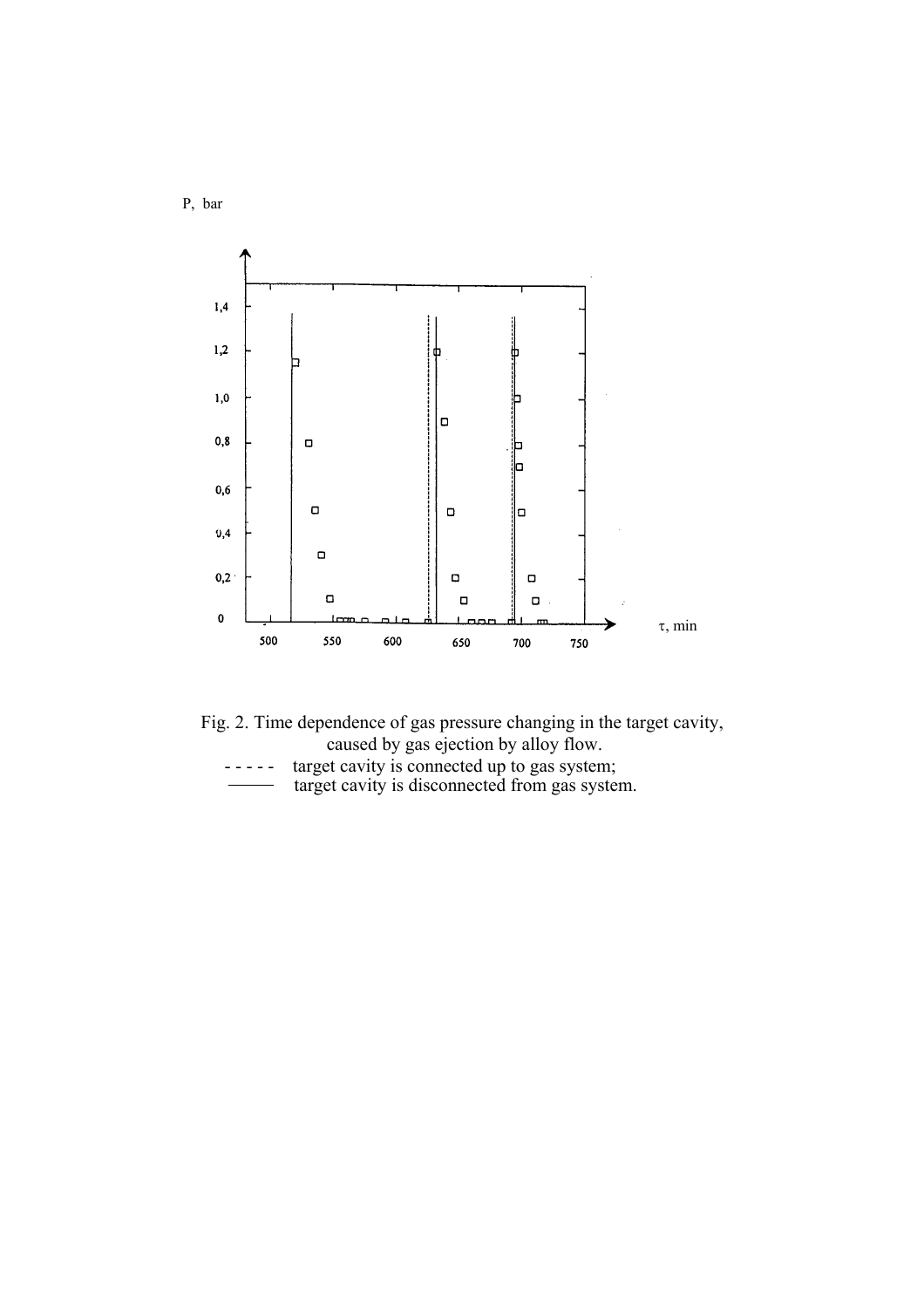P, bar





- - - target cavity is connected up to gas system;
- target cavity is disconnected from gas system.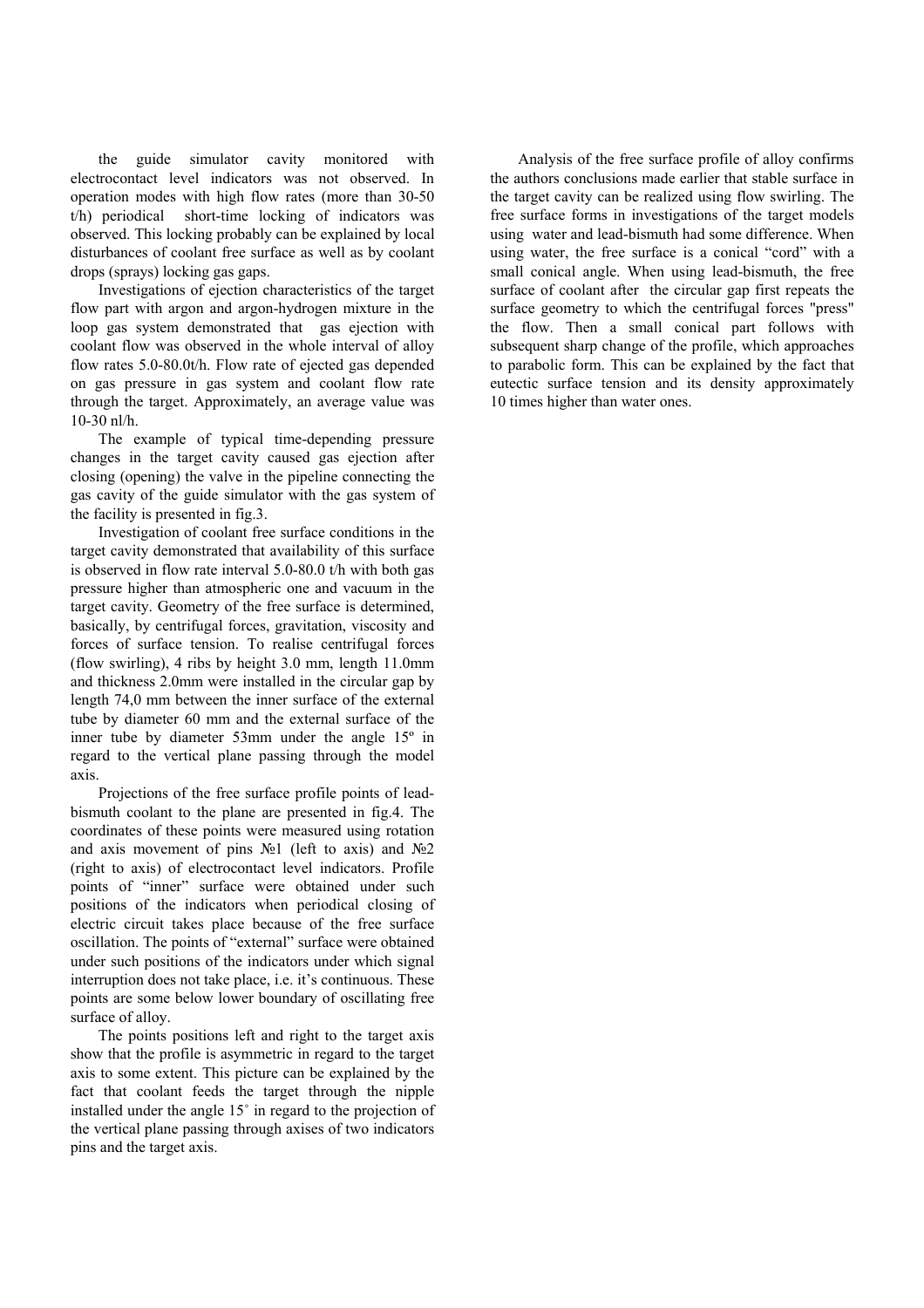the guide simulator cavity monitored with electrocontact level indicators was not observed. In operation modes with high flow rates (more than 30-50 t/h) periodical short-time locking of indicators was observed. This locking probably can be explained by local disturbances of coolant free surface as well as by coolant drops (sprays) locking gas gaps.

Investigations of ejection characteristics of the target flow part with argon and argon-hydrogen mixture in the loop gas system demonstrated that gas ejection with coolant flow was observed in the whole interval of alloy flow rates 5.0-80.0t/h. Flow rate of ejected gas depended on gas pressure in gas system and coolant flow rate through the target. Approximately, an average value was 10-30 nl/h.

The example of typical time-depending pressure changes in the target cavity caused gas ejection after closing (opening) the valve in the pipeline connecting the gas cavity of the guide simulator with the gas system of the facility is presented in fig.3.

Investigation of coolant free surface conditions in the target cavity demonstrated that availability of this surface is observed in flow rate interval 5.0-80.0 t/h with both gas pressure higher than atmospheric one and vacuum in the target cavity. Geometry of the free surface is determined, basically, by centrifugal forces, gravitation, viscosity and forces of surface tension. To realise centrifugal forces (flow swirling), 4 ribs by height 3.0 mm, length 11.0mm and thickness 2.0mm were installed in the circular gap by length 74,0 mm between the inner surface of the external tube by diameter 60 mm and the external surface of the inner tube by diameter 53mm under the angle 15º in regard to the vertical plane passing through the model axis.

Projections of the free surface profile points of leadbismuth coolant to the plane are presented in fig.4. The coordinates of these points were measured using rotation and axis movement of pins  $N_21$  (left to axis) and  $N_22$ (right to axis) of electrocontact level indicators. Profile points of "inner" surface were obtained under such positions of the indicators when periodical closing of electric circuit takes place because of the free surface oscillation. The points of "external" surface were obtained under such positions of the indicators under which signal interruption does not take place, i.e. it's continuous. These points are some below lower boundary of oscillating free surface of alloy.

The points positions left and right to the target axis show that the profile is asymmetric in regard to the target axis to some extent. This picture can be explained by the fact that coolant feeds the target through the nipple installed under the angle 15˚ in regard to the projection of the vertical plane passing through axises of two indicators pins and the target axis.

Analysis of the free surface profile of alloy confirms the authors conclusions made earlier that stable surface in the target cavity can be realized using flow swirling. The free surface forms in investigations of the target models using water and lead-bismuth had some difference. When using water, the free surface is a conical "cord" with a small conical angle. When using lead-bismuth, the free surface of coolant after the circular gap first repeats the surface geometry to which the centrifugal forces "press" the flow. Then a small conical part follows with subsequent sharp change of the profile, which approaches to parabolic form. This can be explained by the fact that eutectic surface tension and its density approximately 10 times higher than water ones.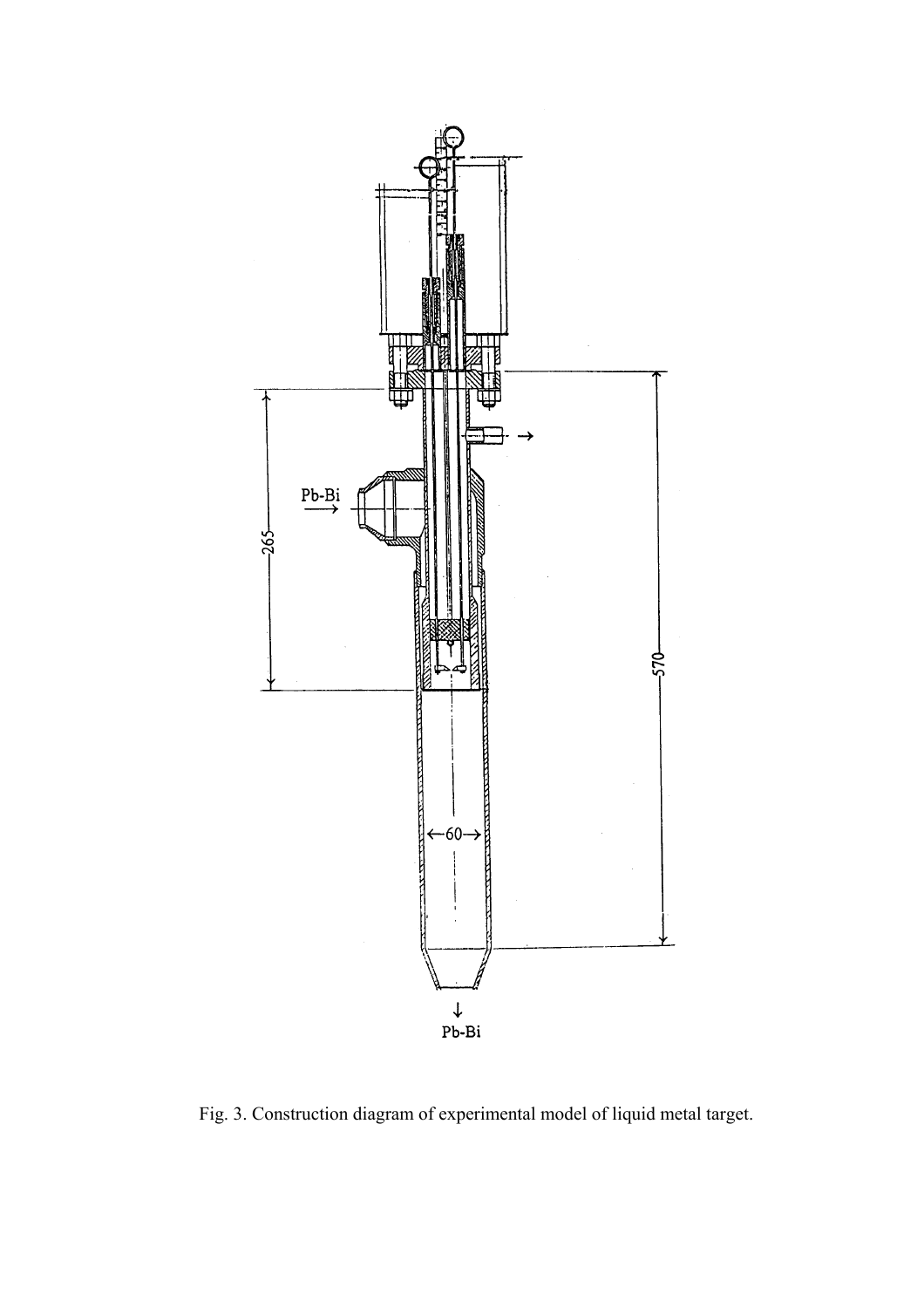

Fig. 3. Construction diagram of experimental model of liquid metal target.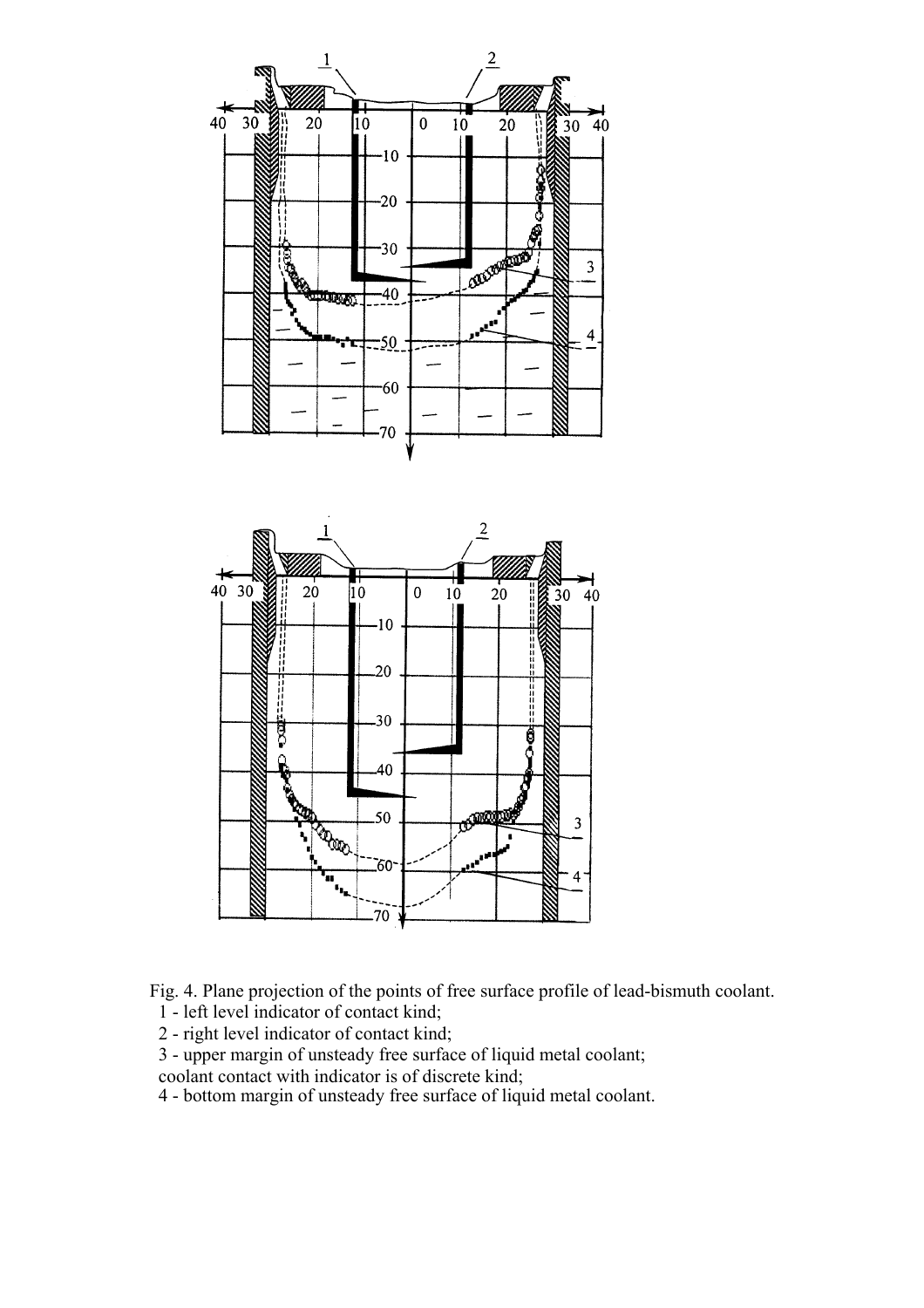

Fig. 4. Plane projection of the points of free surface profile of lead-bismuth coolant.

- 1 left level indicator of contact kind;
- 2 right level indicator of contact kind;
- 3 upper margin of unsteady free surface of liquid metal coolant; coolant contact with indicator is of discrete kind;
- 4 bottom margin of unsteady free surface of liquid metal coolant.